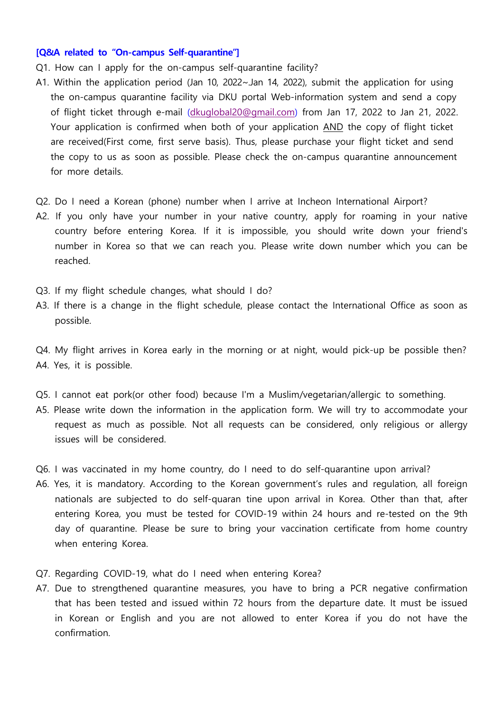## **[Q&A related to "On-campus Self-quarantine"]**

- Q1. How can I apply for the on-campus self-quarantine facility?
- A1. Within the application period (Jan 10, 2022~.Jan 14, 2022), submit the application for using the on-campus quarantine facility via DKU portal Web-information system and send a copy of flight ticket through e-mail ([dkuglobal20@gmail.com](mailto:dkuglobal20@gmail.com)) from Jan 17, 2022 to Jan 21, 2022. Your application is confirmed when both of your application AND the copy of flight ticket are received(First come, first serve basis). Thus, please purchase your flight ticket and send the copy to us as soon as possible. Please check the on-campus quarantine announcement for more details.
- Q2. Do I need a Korean (phone) number when I arrive at Incheon International Airport?
- A2. If you only have your number in your native country, apply for roaming in your native country before entering Korea. If it is impossible, you should write down your friend's number in Korea so that we can reach you. Please write down number which you can be reached.
- Q3. If my flight schedule changes, what should I do?
- A3. If there is a change in the flight schedule, please contact the International Office as soon as possible.
- Q4. My flight arrives in Korea early in the morning or at night, would pick-up be possible then? A4. Yes, it is possible.
- Q5. I cannot eat pork(or other food) because I'm a Muslim/vegetarian/allergic to something.
- A5. Please write down the information in the application form. We will try to accommodate your request as much as possible. Not all requests can be considered, only religious or allergy issues will be considered.
- Q6. I was vaccinated in my home country, do I need to do self-quarantine upon arrival?
- A6. Yes, it is mandatory. According to the Korean government's rules and regulation, all foreign nationals are subjected to do self-quaran tine upon arrival in Korea. Other than that, after entering Korea, you must be tested for COVID-19 within 24 hours and re-tested on the 9th day of quarantine. Please be sure to bring your vaccination certificate from home country when entering Korea.
- Q7. Regarding COVID-19, what do I need when entering Korea?
- A7. Due to strengthened quarantine measures, you have to bring a PCR negative confirmation that has been tested and issued within 72 hours from the departure date. It must be issued in Korean or English and you are not allowed to enter Korea if you do not have the confirmation.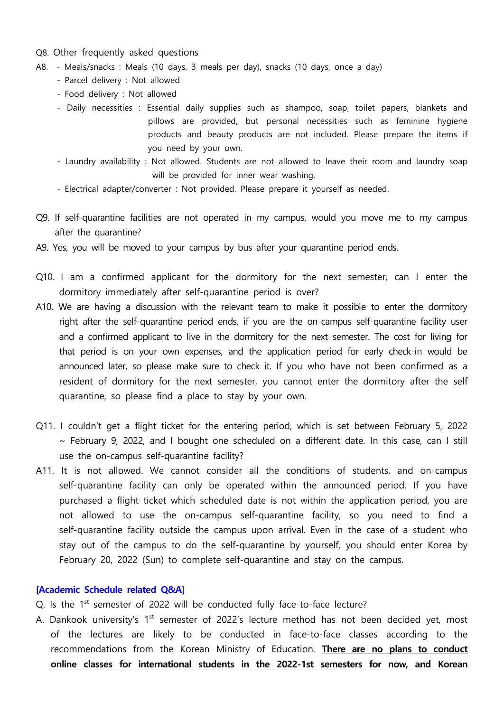- Q8. Other frequently asked questions
- A8. Meals/snacks : Meals (10 days, 3 meals per day), snacks (10 days, once a day) Parcel delivery : Not allowed
	-
	- Food delivery : Not allowed
	- Daily necessities : Essential daily supplies such as shampoo, soap, toilet papers, blankets and pillows are provided, but personal necessities such as feminine hygiene products and beauty products are not included. Please prepare the items if you need by your own.<br>- Laundry availability : Not allowed. Students are not allowed to leave their room and laundry soap
	- will be provided for inner wear washing.<br>- Electrical adapter/converter : Not provided. Please prepare it yourself as needed.
	-
- Q9. If self-quarantine facilities are not operated in my campus, would you move me to my campus after the quarantine?
- A9. Yes, you will be moved to your campus by bus after your quarantine period ends.
- Q10. I am a confirmed applicant for the dormitory for the next semester, can I enter the dormitory immediately after self-quarantine period is over?
- A10. We are having a discussion with the relevant team to make it possible to enter the dormitory right after the self-quarantine period ends, if you are the on-campus self-quarantine facility user and a confirmed applicant to live in the dormitory for the next semester. The cost for living for that period is on your own expenses, and the application period for early check-in would be announced later, so please make sure to check it. If you who have not been confirmed as a resident of dormitory for the next semester, you cannot enter the dormitory after the self quarantine, so please find a place to stay by your own.
- Q11. I couldn't get a flight ticket for the entering period, which is set between February 5, 2022<br>February 9, 2022, and I bought one scheduled on a different date. In this case, can I still use the on-campus self-quarantine facility?
- A11. It is not allowed. We cannot consider all the conditions of students, and on-campus self-quarantine facility can only be operated within the announced period. If you have purchased a flight ticket which scheduled date is not within the application period, you are not allowed to use the on-campus self-quarantine facility, so you need to find a self-quarantine facility outside the campus upon arrival. Even in the case of a student who stay out of the campus to do the self-quarantine by yourself, you should enter Korea by February 20, 2022 (Sun) to complete self-quarantine and stay on the campus.

## **[Academic Schedule related Q&A]**

- Q. Is the 1<sup>st</sup> semester of 2022 will be conducted fully face-to-face lecture?
- A. Dankook university's 1<sup>st</sup> semester of 2022's lecture method has not been decided yet, most of the lectures are likely to be conducted in face-to-face classes according to the recommendations from the Korean Ministry of Education. **There are no plans to conduct online classes for international students in the 2022-1st semesters for now, and Korean**